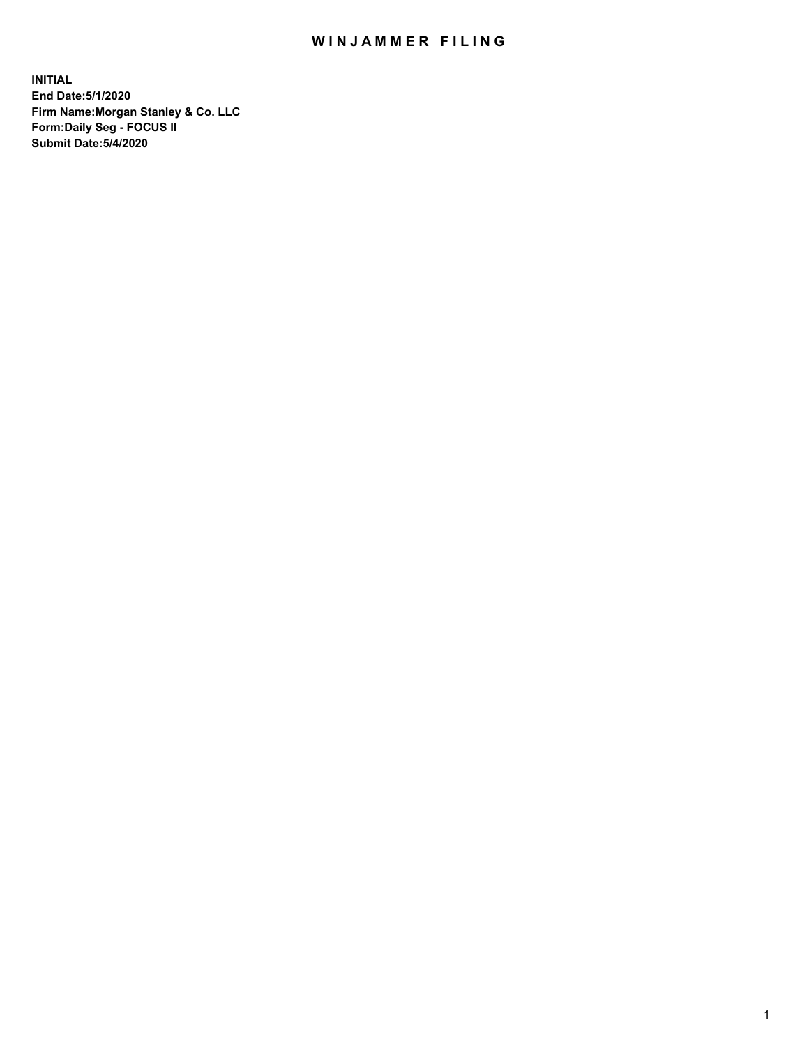## WIN JAMMER FILING

**INITIAL End Date:5/1/2020 Firm Name:Morgan Stanley & Co. LLC Form:Daily Seg - FOCUS II Submit Date:5/4/2020**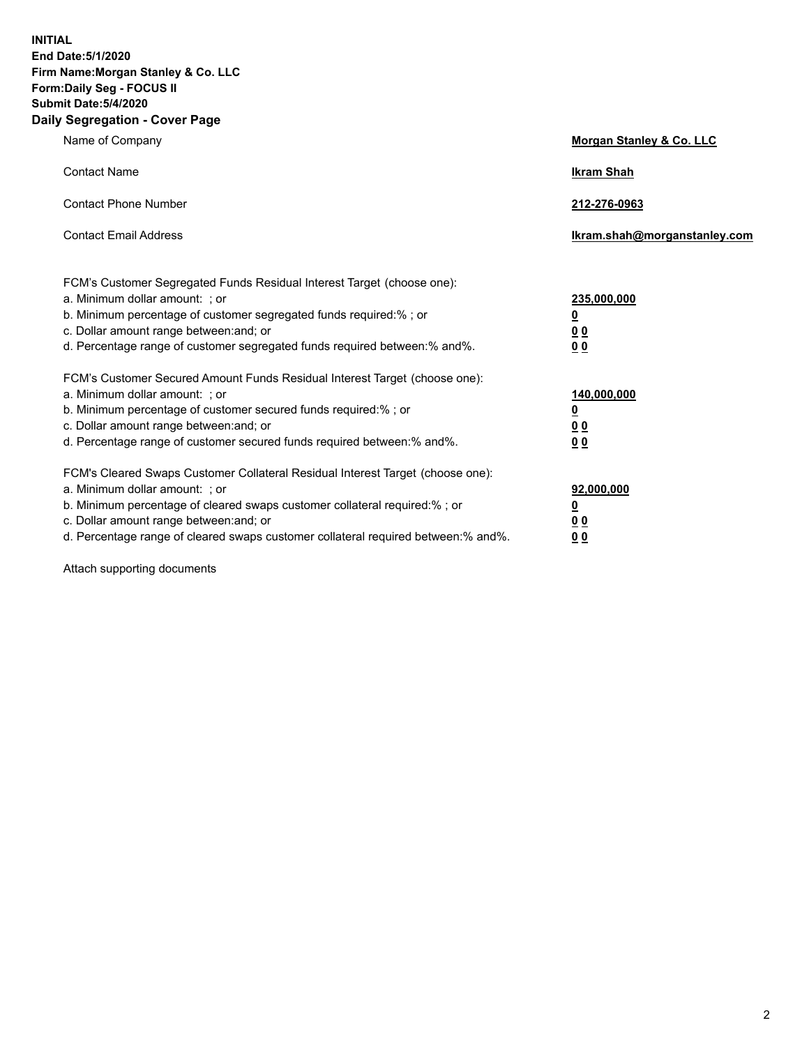**INITIAL End Date:5/1/2020 Firm Name:Morgan Stanley & Co. LLC Form:Daily Seg - FOCUS II Submit Date:5/4/2020 Daily Segregation - Cover Page**

| Name of Company                                                                   | Morgan Stanley & Co. LLC     |
|-----------------------------------------------------------------------------------|------------------------------|
| <b>Contact Name</b>                                                               | <b>Ikram Shah</b>            |
| <b>Contact Phone Number</b>                                                       | 212-276-0963                 |
| <b>Contact Email Address</b>                                                      | Ikram.shah@morganstanley.com |
| FCM's Customer Segregated Funds Residual Interest Target (choose one):            |                              |
| a. Minimum dollar amount: ; or                                                    | 235,000,000                  |
| b. Minimum percentage of customer segregated funds required:%; or                 | <u>0</u>                     |
| c. Dollar amount range between: and; or                                           | <u>00</u>                    |
| d. Percentage range of customer segregated funds required between:% and%.         | 0 Q                          |
| FCM's Customer Secured Amount Funds Residual Interest Target (choose one):        |                              |
| a. Minimum dollar amount: ; or                                                    | 140,000,000                  |
| b. Minimum percentage of customer secured funds required:%; or                    | <u>0</u>                     |
| c. Dollar amount range between: and; or                                           | <u>0 0</u>                   |
| d. Percentage range of customer secured funds required between: % and %.          | 0 Q                          |
| FCM's Cleared Swaps Customer Collateral Residual Interest Target (choose one):    |                              |
| a. Minimum dollar amount: ; or                                                    | 92,000,000                   |
| b. Minimum percentage of cleared swaps customer collateral required:% ; or        | <u>0</u>                     |
| c. Dollar amount range between: and; or                                           | 0 Q                          |
| d. Percentage range of cleared swaps customer collateral required between:% and%. | 0 <sub>0</sub>               |
|                                                                                   |                              |

Attach supporting documents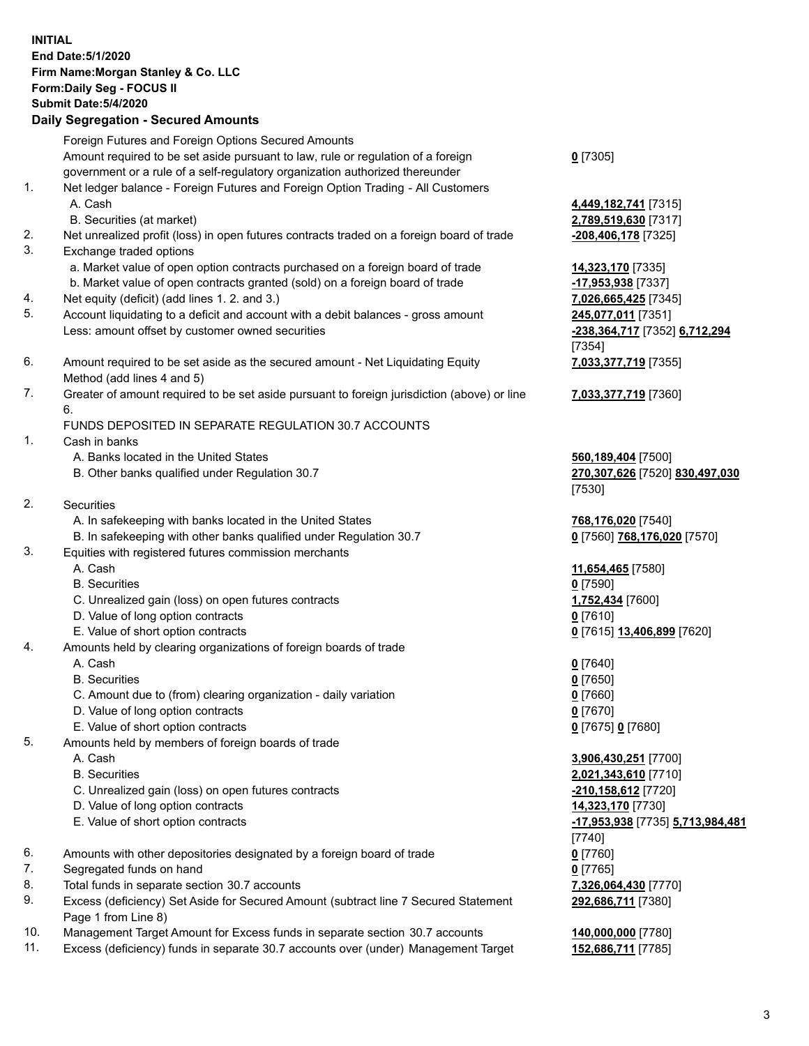|          | <b>INITIAL</b><br>End Date: 5/1/2020<br>Firm Name: Morgan Stanley & Co. LLC<br>Form: Daily Seg - FOCUS II<br><b>Submit Date: 5/4/2020</b><br><b>Daily Segregation - Secured Amounts</b> |                                                       |
|----------|-----------------------------------------------------------------------------------------------------------------------------------------------------------------------------------------|-------------------------------------------------------|
|          | Foreign Futures and Foreign Options Secured Amounts                                                                                                                                     |                                                       |
|          | Amount required to be set aside pursuant to law, rule or regulation of a foreign                                                                                                        | $0$ [7305]                                            |
|          | government or a rule of a self-regulatory organization authorized thereunder                                                                                                            |                                                       |
| 1.       | Net ledger balance - Foreign Futures and Foreign Option Trading - All Customers<br>A. Cash                                                                                              | 4,449,182,741 [7315]                                  |
|          | B. Securities (at market)                                                                                                                                                               | 2,789,519,630 [7317]                                  |
| 2.       | Net unrealized profit (loss) in open futures contracts traded on a foreign board of trade                                                                                               | -208,406,178 [7325]                                   |
| 3.       | Exchange traded options                                                                                                                                                                 |                                                       |
|          | a. Market value of open option contracts purchased on a foreign board of trade                                                                                                          | 14,323,170 [7335]                                     |
|          | b. Market value of open contracts granted (sold) on a foreign board of trade                                                                                                            | -17,953,938 [7337]                                    |
| 4.<br>5. | Net equity (deficit) (add lines 1. 2. and 3.)<br>Account liquidating to a deficit and account with a debit balances - gross amount                                                      | 7,026,665,425 [7345]<br>245,077,011 [7351]            |
|          | Less: amount offset by customer owned securities                                                                                                                                        | -238,364,717 [7352] 6,712,294                         |
|          |                                                                                                                                                                                         | [7354]                                                |
| 6.       | Amount required to be set aside as the secured amount - Net Liquidating Equity<br>Method (add lines 4 and 5)                                                                            | 7,033,377,719 [7355]                                  |
| 7.       | Greater of amount required to be set aside pursuant to foreign jurisdiction (above) or line                                                                                             | 7,033,377,719 [7360]                                  |
|          | 6.                                                                                                                                                                                      |                                                       |
| 1.       | FUNDS DEPOSITED IN SEPARATE REGULATION 30.7 ACCOUNTS                                                                                                                                    |                                                       |
|          | Cash in banks<br>A. Banks located in the United States                                                                                                                                  | 560,189,404 [7500]                                    |
|          | B. Other banks qualified under Regulation 30.7                                                                                                                                          | 270,307,626 [7520] 830,497,030<br>[7530]              |
| 2.       | <b>Securities</b>                                                                                                                                                                       |                                                       |
|          | A. In safekeeping with banks located in the United States                                                                                                                               | 768,176,020 [7540]                                    |
|          | B. In safekeeping with other banks qualified under Regulation 30.7                                                                                                                      | 0 [7560] 768,176,020 [7570]                           |
| 3.       | Equities with registered futures commission merchants                                                                                                                                   |                                                       |
|          | A. Cash<br><b>B.</b> Securities                                                                                                                                                         | 11,654,465 [7580]<br>$0$ [7590]                       |
|          | C. Unrealized gain (loss) on open futures contracts                                                                                                                                     | 1,752,434 [7600]                                      |
|          | D. Value of long option contracts                                                                                                                                                       | $0$ [7610]                                            |
|          | E. Value of short option contracts                                                                                                                                                      | 0 [7615] 13,406,899 [7620]                            |
| 4.       | Amounts held by clearing organizations of foreign boards of trade                                                                                                                       |                                                       |
|          | A. Cash                                                                                                                                                                                 | $0$ [7640]                                            |
|          | <b>B.</b> Securities<br>C. Amount due to (from) clearing organization - daily variation                                                                                                 | $0$ [7650]<br>$0$ [7660]                              |
|          | D. Value of long option contracts                                                                                                                                                       | $0$ [7670]                                            |
|          | E. Value of short option contracts                                                                                                                                                      | 0 [7675] 0 [7680]                                     |
| 5.       | Amounts held by members of foreign boards of trade                                                                                                                                      |                                                       |
|          | A. Cash                                                                                                                                                                                 | 3,906,430,251 [7700]                                  |
|          | <b>B.</b> Securities                                                                                                                                                                    | 2,021,343,610 [7710]                                  |
|          | C. Unrealized gain (loss) on open futures contracts                                                                                                                                     | -210,158,612 [7720]                                   |
|          | D. Value of long option contracts<br>E. Value of short option contracts                                                                                                                 | 14,323,170 [7730]<br>-17,953,938 [7735] 5,713,984,481 |
|          |                                                                                                                                                                                         | $[7740]$                                              |
| 6.       | Amounts with other depositories designated by a foreign board of trade                                                                                                                  | $0$ [7760]                                            |
| 7.       | Segregated funds on hand                                                                                                                                                                | $0$ [7765]                                            |
| 8.       | Total funds in separate section 30.7 accounts                                                                                                                                           | 7,326,064,430 [7770]                                  |
| 9.       | Excess (deficiency) Set Aside for Secured Amount (subtract line 7 Secured Statement<br>Page 1 from Line 8)                                                                              | 292,686,711 [7380]                                    |
| 10.      | Management Target Amount for Excess funds in separate section 30.7 accounts                                                                                                             | 140,000,000 [7780]                                    |
| 11.      | Excess (deficiency) funds in separate 30.7 accounts over (under) Management Target                                                                                                      | 152,686,711 [7785]                                    |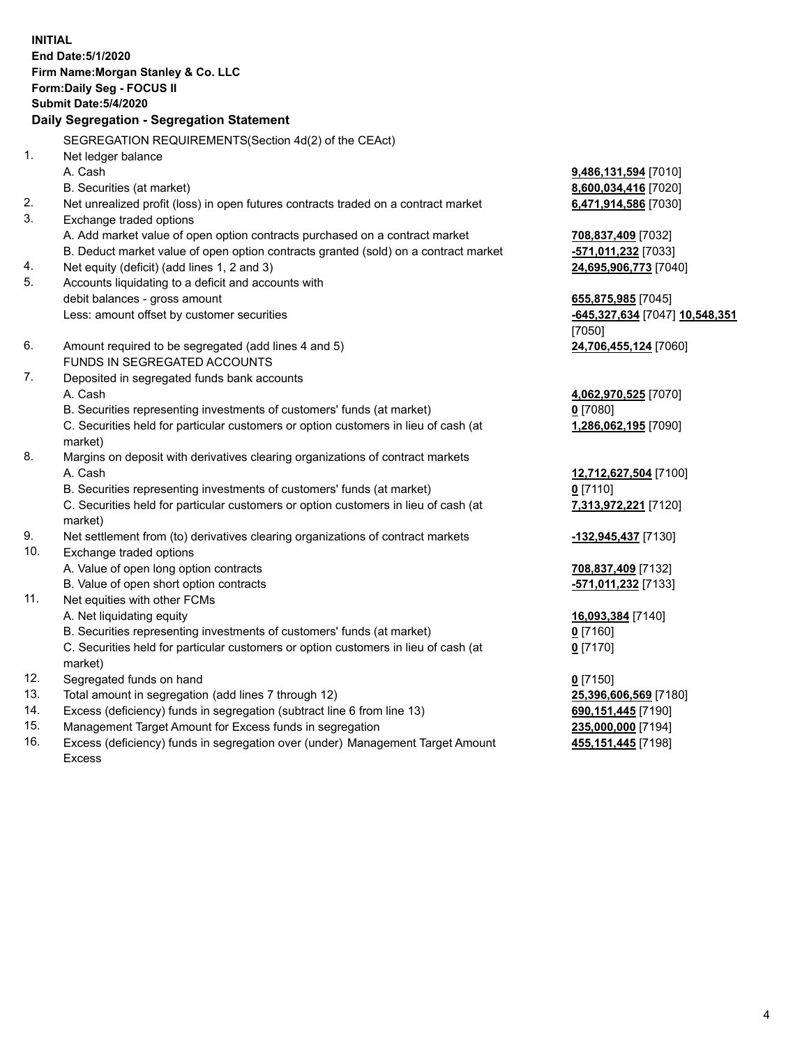|     | <b>INITIAL</b><br>End Date: 5/1/2020<br>Firm Name: Morgan Stanley & Co. LLC<br>Form: Daily Seg - FOCUS II<br><b>Submit Date: 5/4/2020</b><br>Daily Segregation - Segregation Statement |                                |
|-----|----------------------------------------------------------------------------------------------------------------------------------------------------------------------------------------|--------------------------------|
|     | SEGREGATION REQUIREMENTS(Section 4d(2) of the CEAct)                                                                                                                                   |                                |
| 1.  | Net ledger balance                                                                                                                                                                     |                                |
|     | A. Cash                                                                                                                                                                                | 9,486,131,594 [7010]           |
|     | B. Securities (at market)                                                                                                                                                              | 8,600,034,416 [7020]           |
| 2.  | Net unrealized profit (loss) in open futures contracts traded on a contract market                                                                                                     | 6,471,914,586 [7030]           |
| 3.  | Exchange traded options                                                                                                                                                                |                                |
|     | A. Add market value of open option contracts purchased on a contract market                                                                                                            | 708,837,409 [7032]             |
|     | B. Deduct market value of open option contracts granted (sold) on a contract market                                                                                                    | -571,011,232 [7033]            |
| 4.  | Net equity (deficit) (add lines 1, 2 and 3)                                                                                                                                            | 24,695,906,773 [7040]          |
| 5.  | Accounts liquidating to a deficit and accounts with                                                                                                                                    |                                |
|     | debit balances - gross amount                                                                                                                                                          | 655,875,985 [7045]             |
|     | Less: amount offset by customer securities                                                                                                                                             | -645,327,634 [7047] 10,548,351 |
|     |                                                                                                                                                                                        | [7050]                         |
| 6.  | Amount required to be segregated (add lines 4 and 5)                                                                                                                                   | 24,706,455,124 [7060]          |
|     | FUNDS IN SEGREGATED ACCOUNTS                                                                                                                                                           |                                |
| 7.  | Deposited in segregated funds bank accounts                                                                                                                                            |                                |
|     | A. Cash                                                                                                                                                                                | 4,062,970,525 [7070]           |
|     | B. Securities representing investments of customers' funds (at market)                                                                                                                 | $0$ [7080]                     |
|     | C. Securities held for particular customers or option customers in lieu of cash (at<br>market)                                                                                         | 1,286,062,195 [7090]           |
| 8.  | Margins on deposit with derivatives clearing organizations of contract markets                                                                                                         |                                |
|     | A. Cash                                                                                                                                                                                | 12,712,627,504 [7100]          |
|     | B. Securities representing investments of customers' funds (at market)                                                                                                                 | $0$ [7110]                     |
|     | C. Securities held for particular customers or option customers in lieu of cash (at<br>market)                                                                                         | 7,313,972,221 [7120]           |
| 9.  | Net settlement from (to) derivatives clearing organizations of contract markets                                                                                                        | -132,945,437 [7130]            |
| 10. | Exchange traded options                                                                                                                                                                |                                |
|     | A. Value of open long option contracts                                                                                                                                                 | 708,837,409 [7132]             |
|     | B. Value of open short option contracts                                                                                                                                                | -571,011,232 [7133]            |
| 11. | Net equities with other FCMs                                                                                                                                                           |                                |
|     | A. Net liquidating equity                                                                                                                                                              | 16,093,384 [7140]              |
|     | B. Securities representing investments of customers' funds (at market)                                                                                                                 | $0$ [7160]                     |
|     | C. Securities held for particular customers or option customers in lieu of cash (at<br>market)                                                                                         | $0$ [7170]                     |
| 12. | Segregated funds on hand                                                                                                                                                               | $0$ [7150]                     |
| 13. | Total amount in segregation (add lines 7 through 12)                                                                                                                                   | 25,396,606,569 [7180]          |
| 14. | Excess (deficiency) funds in segregation (subtract line 6 from line 13)                                                                                                                | 690, 151, 445 [7190]           |
|     |                                                                                                                                                                                        |                                |

- 15. Management Target Amount for Excess funds in segregation<br>16. Excess (deficiency) funds in segregation over (under) Management Target Amount **155,151,445** [7198] Excess (deficiency) funds in segregation over (under) Management Target Amount
	- Excess

**455,151,445** [7198]